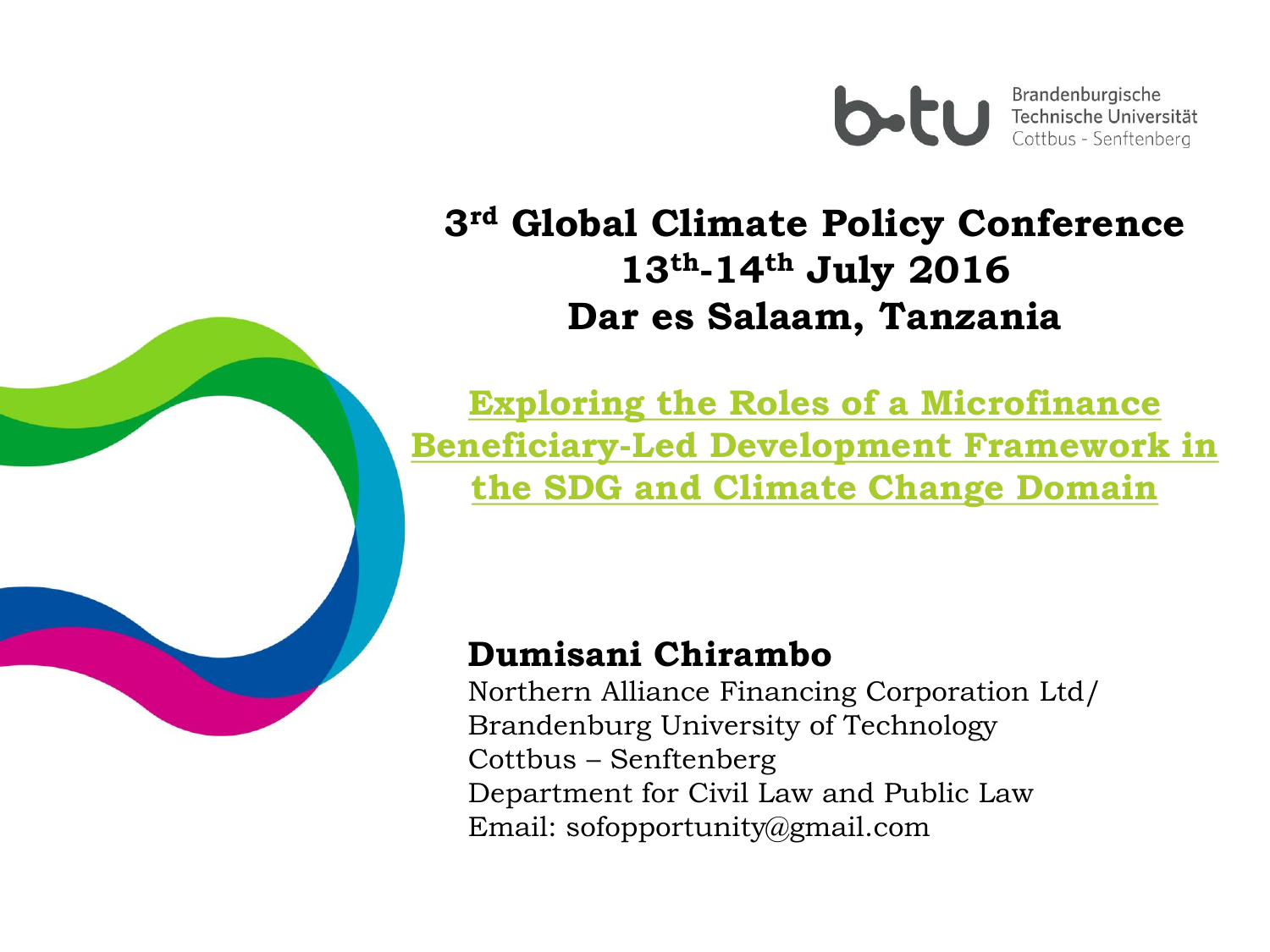

Brandenburgische Technische Universität Cottbus - Senftenberg

### **3rd Global Climate Policy Conference 13th-14th July 2016 Dar es Salaam, Tanzania**

**Exploring the Roles of a Microfinance Beneficiary-Led Development Framework in the SDG and Climate Change Domain**

### **Dumisani Chirambo**

Northern Alliance Financing Corporation Ltd/ Brandenburg University of Technology Cottbus – Senftenberg Department for Civil Law and Public Law Email: sofopportunity@gmail.com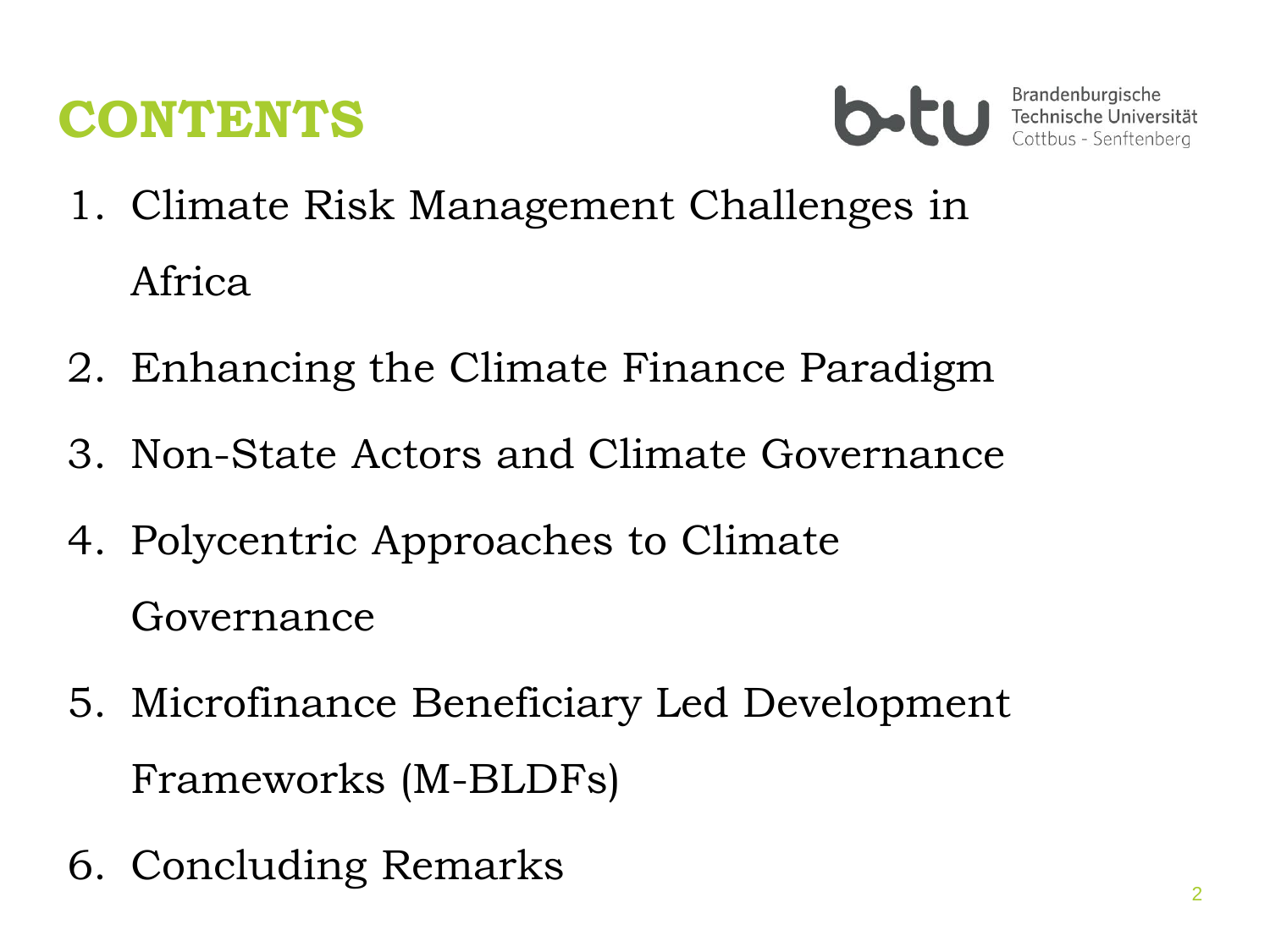### **CONTENTS**



- 1. Climate Risk Management Challenges in Africa
- 2. Enhancing the Climate Finance Paradigm
- 3. Non-State Actors and Climate Governance
- 4. Polycentric Approaches to Climate Governance
- 5. Microfinance Beneficiary Led Development Frameworks (M-BLDFs)
- 6. Concluding Remarks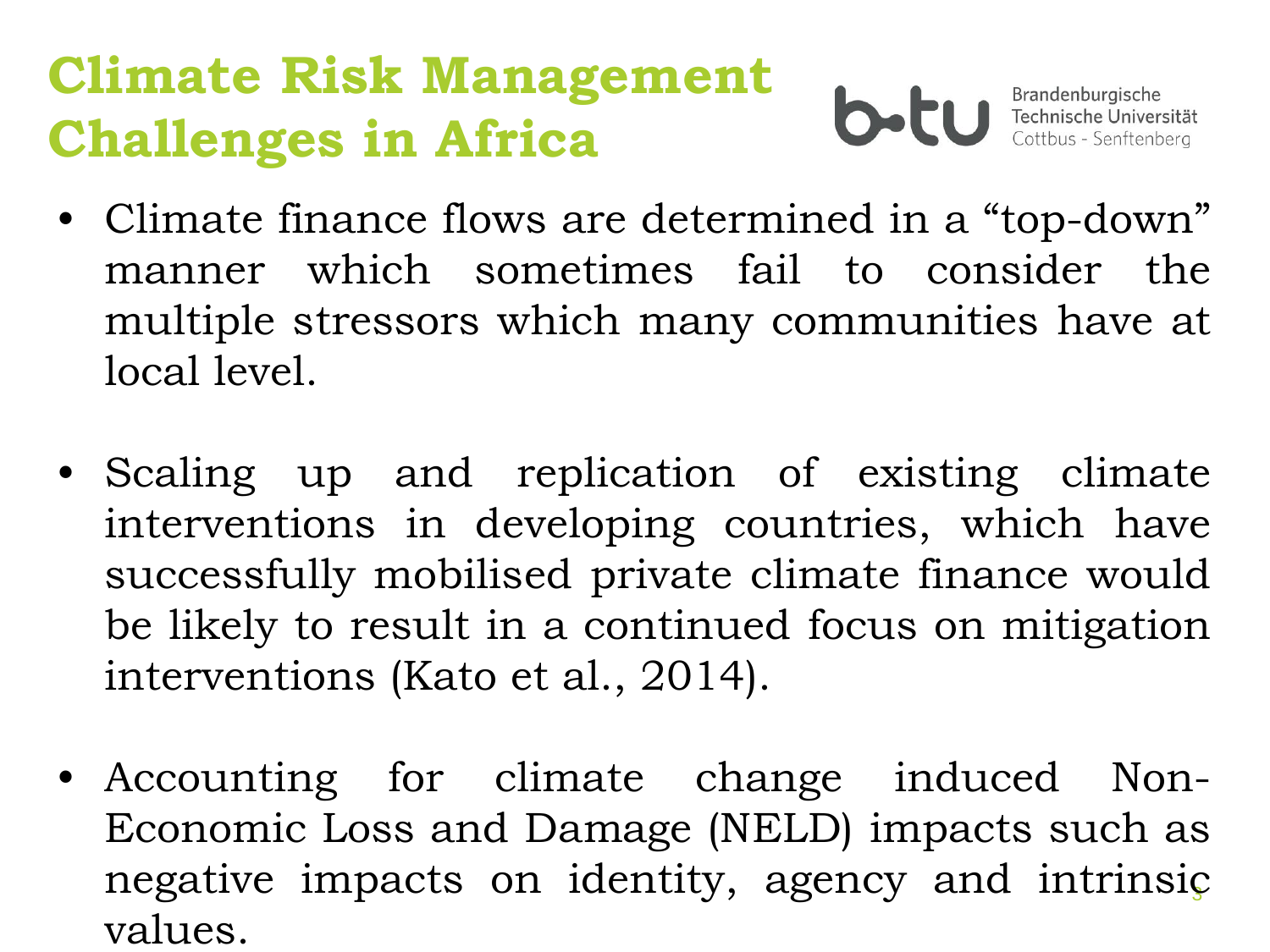# **Climate Risk Management Challenges in Africa**



- Climate finance flows are determined in a "top-down" manner which sometimes fail to consider the multiple stressors which many communities have at local level.
- Scaling up and replication of existing climate interventions in developing countries, which have successfully mobilised private climate finance would be likely to result in a continued focus on mitigation interventions (Kato et al., 2014).
- 3 negative impacts on identity, agency and intrinsic • Accounting for climate change induced Non-Economic Loss and Damage (NELD) impacts such as values.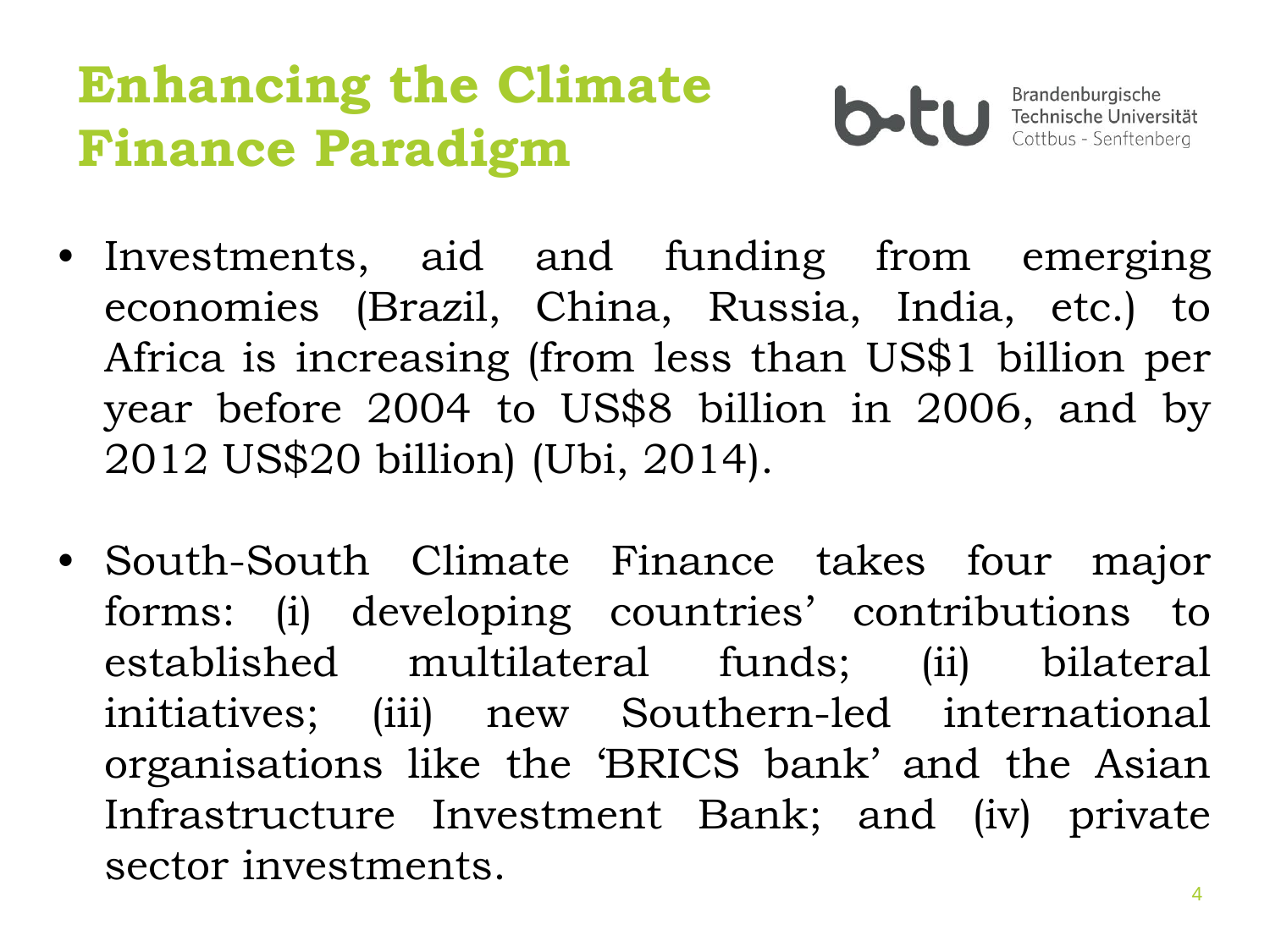# **Enhancing the Climate Finance Paradigm**



- Investments, aid and funding from emerging economies (Brazil, China, Russia, India, etc.) to Africa is increasing (from less than US\$1 billion per year before 2004 to US\$8 billion in 2006, and by 2012 US\$20 billion) (Ubi, 2014).
- South-South Climate Finance takes four major forms: (i) developing countries' contributions to established multilateral funds; (ii) bilateral initiatives; (iii) new Southern-led international organisations like the 'BRICS bank' and the Asian Infrastructure Investment Bank; and (iv) private sector investments.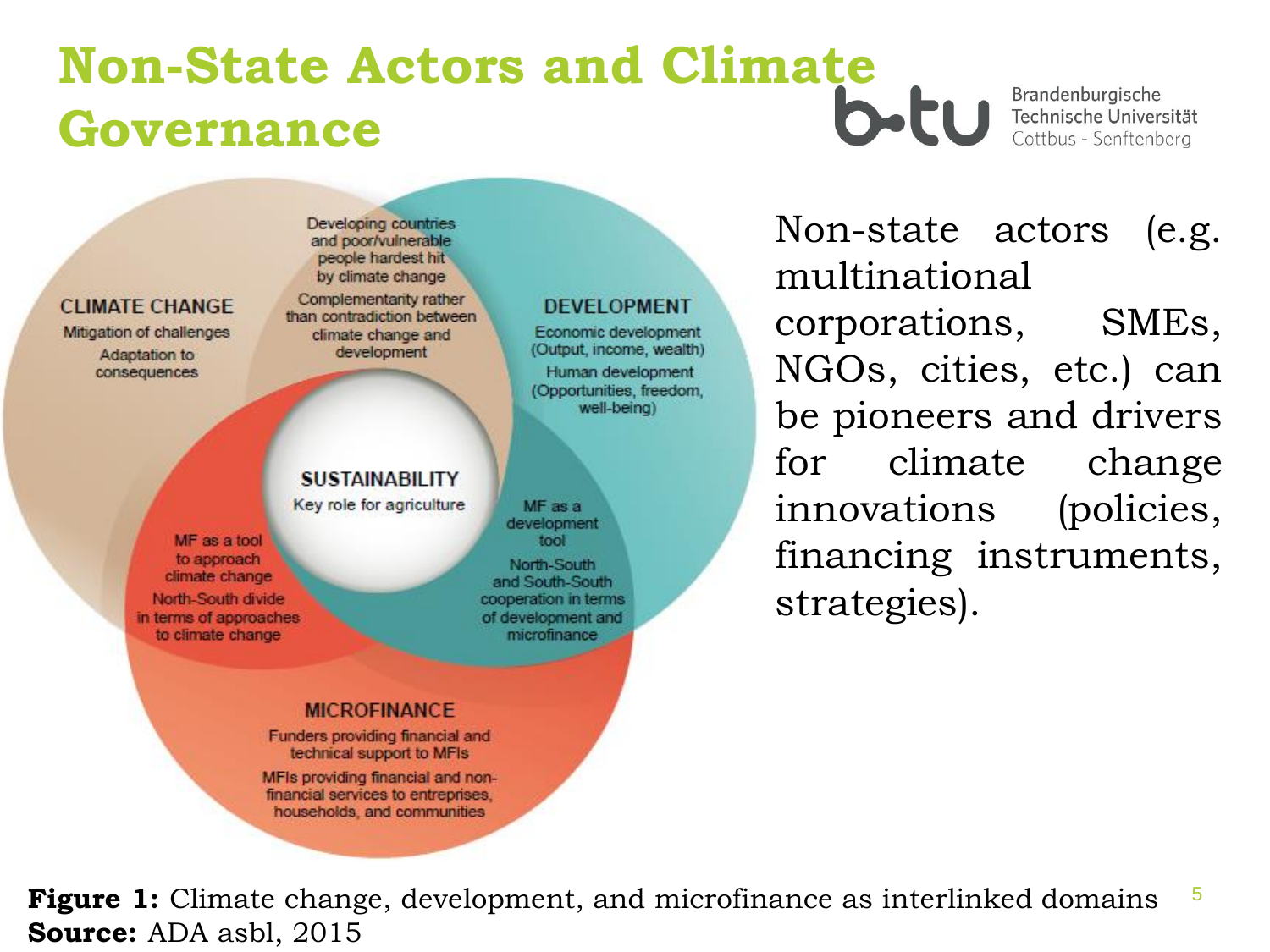## **Non-State Actors and Climate Governance**

Brandenburgische Technische Universität Cottbus - Senftenberg

Developing countries and poor/vulnerable people hardest hit by climate change

Complementarity rather than contradiction between climate change and development

#### **SUSTAINABILITY**

Key role for agriculture

MF as a tool to approach climate change North-South divide in terms of approaches to climate change

**CLIMATE CHANGE** 

Mitigation of challenges

Adaptation to

consequences

MF as a development tool

North-South and South-South cooperation in terms of development and *microfinance* 

#### **MICROFINANCE**

Funders providing financial and technical support to MFIs

MFIs providing financial and nonfinancial services to entreprises. households, and communities

#### **DEVELOPMENT**

Economic development (Output, income, wealth) Human development (Opportunities, freedom, well-being)

Non-state actors (e.g. multinational corporations, SMEs, NGOs, cities, etc.) can be pioneers and drivers for climate change innovations (policies, financing instruments, strategies).

5 **Figure 1:** Climate change, development, and microfinance as interlinked domains **Source:** ADA asbl, 2015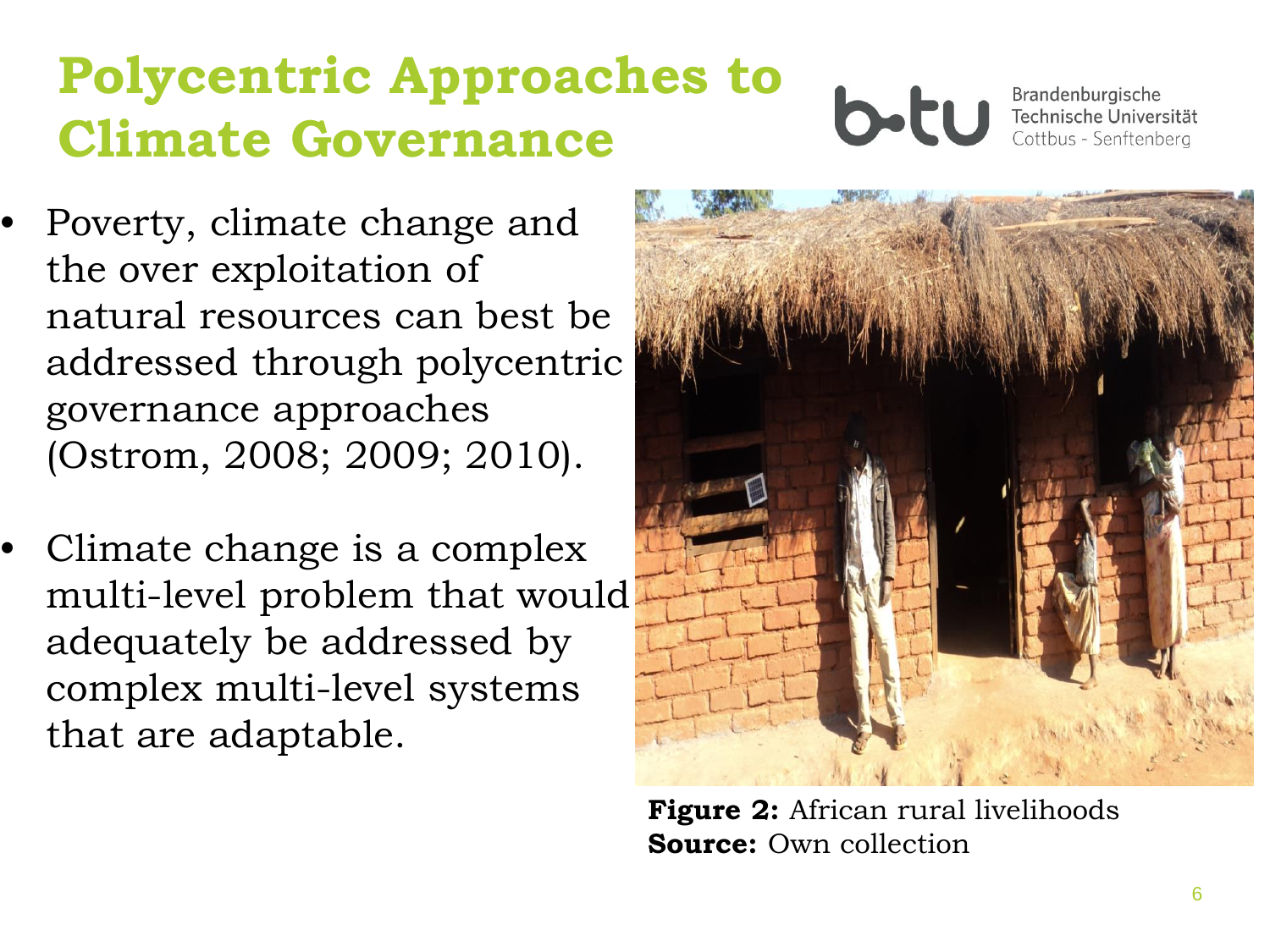# **Polycentric Approaches to Climate Governance**



- Poverty, climate change and the over exploitation of natural resources can best be addressed through polycentric governance approaches (Ostrom, 2008; 2009; 2010).
- Climate change is a complex multi-level problem that would adequately be addressed by complex multi-level systems that are adaptable.



**Figure 2:** African rural livelihoods **Source:** Own collection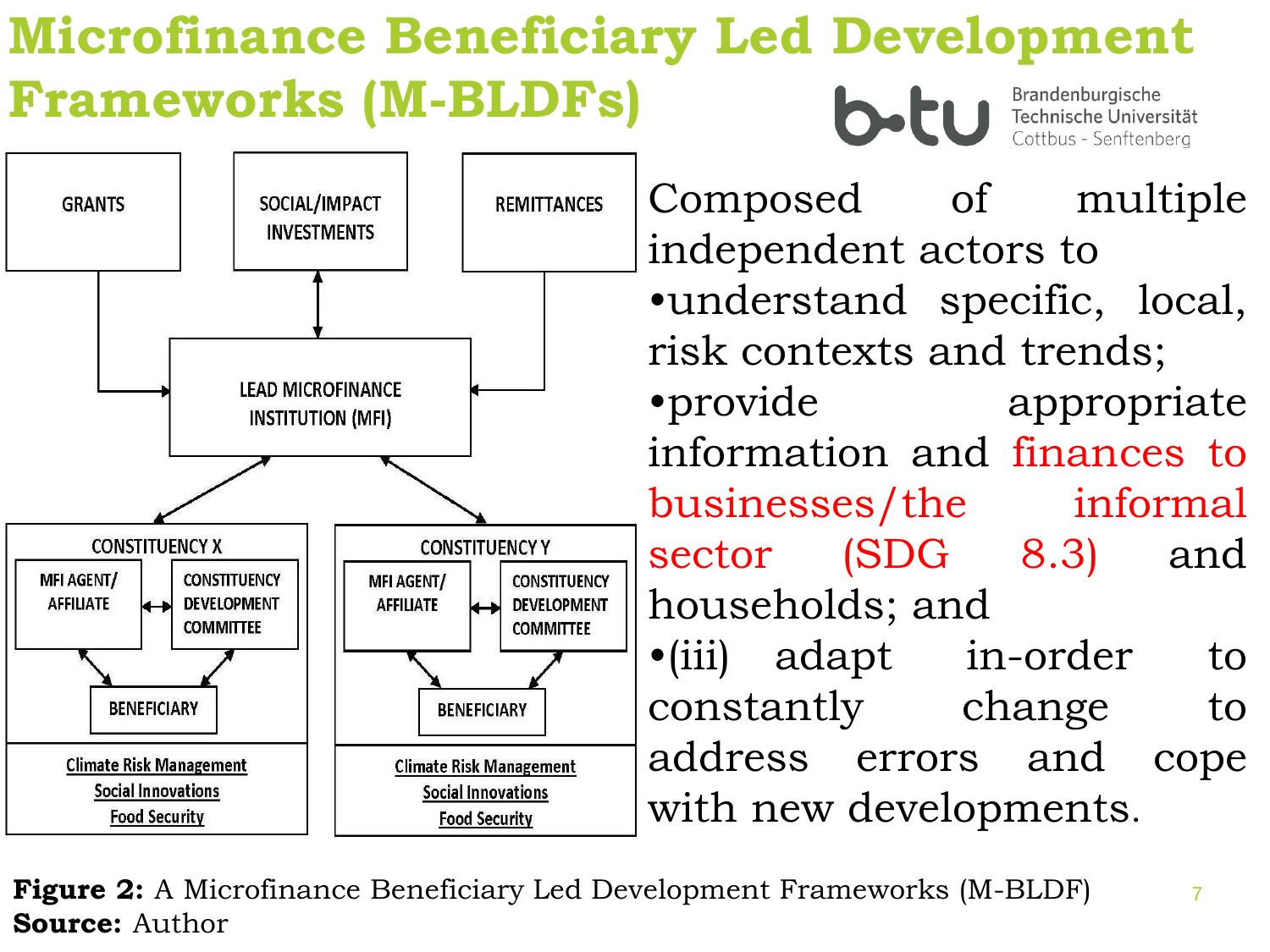#### **Microfinance Beneficiary Led Development Frameworks (M-BLDFs)** Brandenburgische b-tu Technische Universität Cottbus - Senftenberg



**Figure 2:** A Microfinance Beneficiary Led Development Frameworks (M-BLDF) **Source:** Author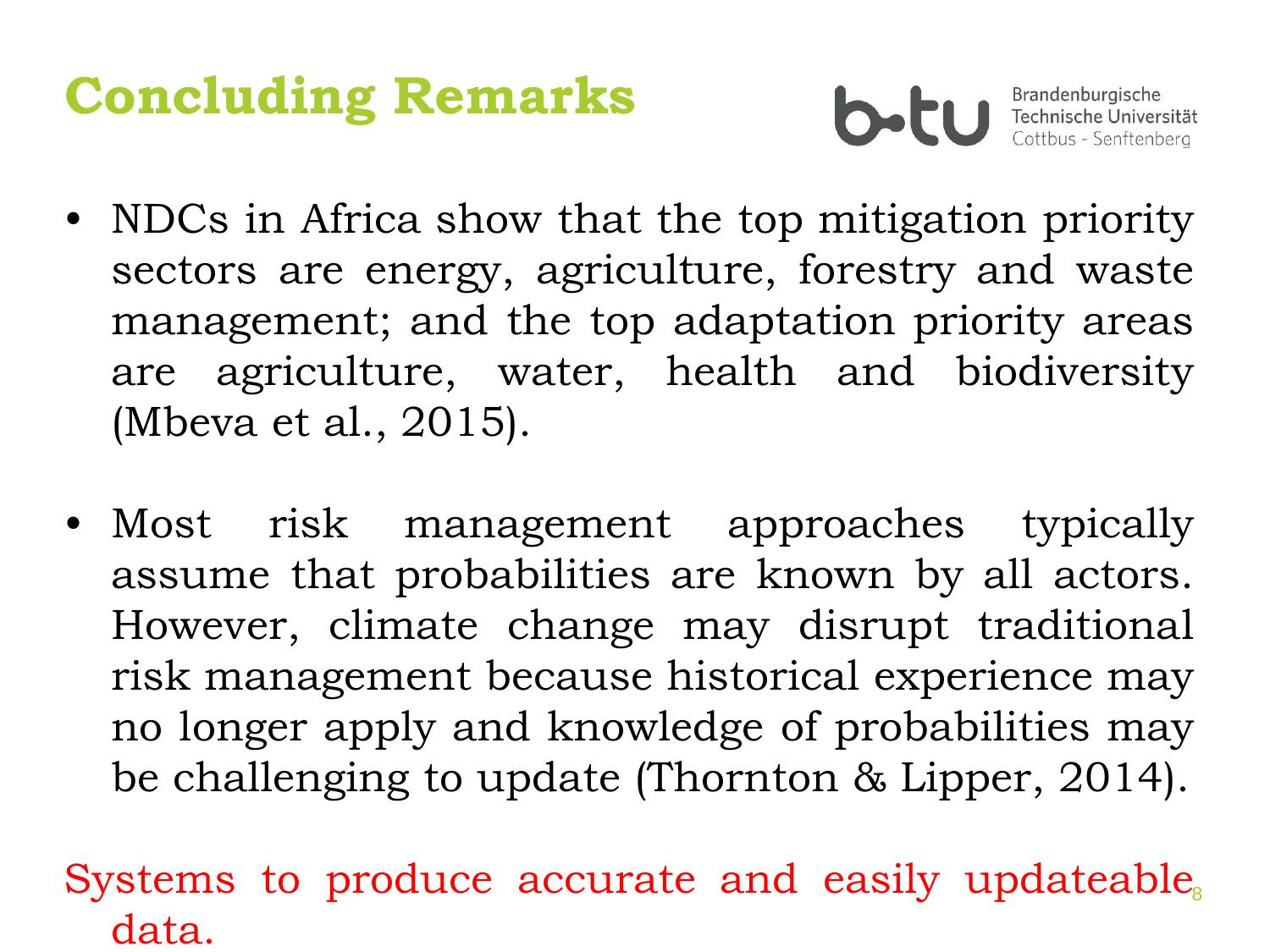# **Concluding Remarks**



Brandenburgische Technische Universität Cottbus - Senftenberg

- NDCs in Africa show that the top mitigation priority sectors are energy, agriculture, forestry and waste management; and the top adaptation priority areas are agriculture, water, health and biodiversity (Mbeva et al., 2015).
- Most risk management approaches typically assume that probabilities are known by all actors. However, climate change may disrupt traditional risk management because historical experience may no longer apply and knowledge of probabilities may be challenging to update (Thornton & Lipper, 2014).

8 Systems to produce accurate and easily updateable data.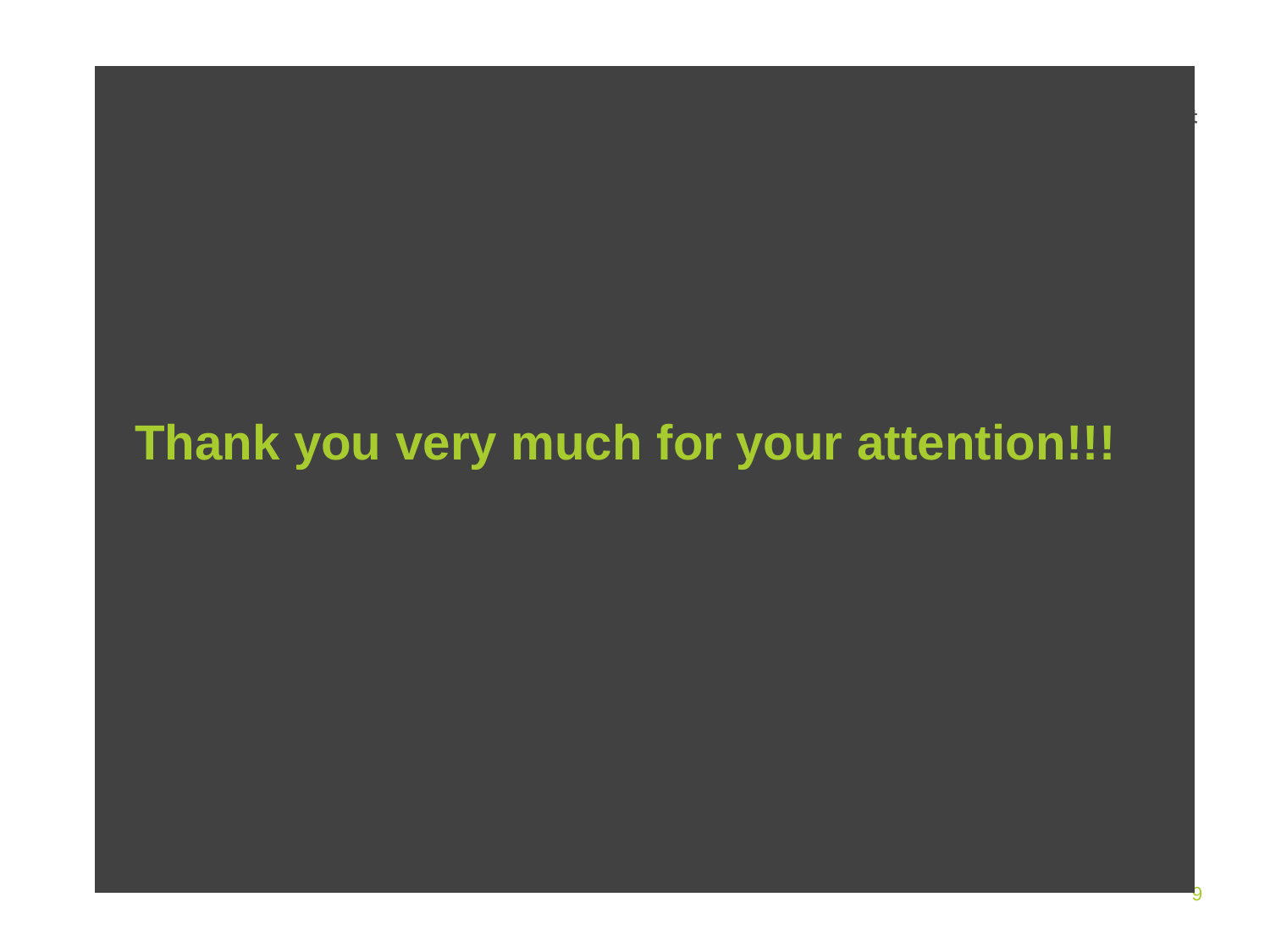### **Thank you very much for your attention!!!**

9